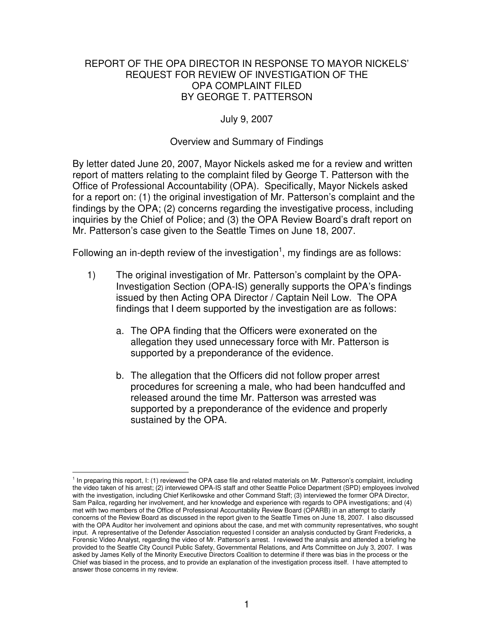#### REPORT OF THE OPA DIRECTOR IN RESPONSE TO MAYOR NICKELS' REQUEST FOR REVIEW OF INVESTIGATION OF THE OPA COMPLAINT FILED BY GEORGE T. PATTERSON

### July 9, 2007

#### Overview and Summary of Findings

By letter dated June 20, 2007, Mayor Nickels asked me for a review and written report of matters relating to the complaint filed by George T. Patterson with the Office of Professional Accountability (OPA). Specifically, Mayor Nickels asked for a report on: (1) the original investigation of Mr. Patterson's complaint and the findings by the OPA; (2) concerns regarding the investigative process, including inquiries by the Chief of Police; and (3) the OPA Review Board's draft report on Mr. Patterson's case given to the Seattle Times on June 18, 2007.

Following an in-depth review of the investigation<sup>1</sup>, my findings are as follows:

- 1) The original investigation of Mr. Patterson's complaint by the OPA-Investigation Section (OPA-IS) generally supports the OPA's findings issued by then Acting OPA Director / Captain Neil Low. The OPA findings that I deem supported by the investigation are as follows:
	- a. The OPA finding that the Officers were exonerated on the allegation they used unnecessary force with Mr. Patterson is supported by a preponderance of the evidence.
	- b. The allegation that the Officers did not follow proper arrest procedures for screening a male, who had been handcuffed and released around the time Mr. Patterson was arrested was supported by a preponderance of the evidence and properly sustained by the OPA.

<sup>&</sup>lt;sup>1</sup> In preparing this report, I: (1) reviewed the OPA case file and related materials on Mr. Patterson's complaint, including the video taken of his arrest; (2) interviewed OPA-IS staff and other Seattle Police Department (SPD) employees involved with the investigation, including Chief Kerlikowske and other Command Staff; (3) interviewed the former OPA Director, Sam Pailca, regarding her involvement, and her knowledge and experience with regards to OPA investigations; and (4) met with two members of the Office of Professional Accountability Review Board (OPARB) in an attempt to clarify concerns of the Review Board as discussed in the report given to the Seattle Times on June 18, 2007. I also discussed with the OPA Auditor her involvement and opinions about the case, and met with community representatives, who sought input. A representative of the Defender Association requested I consider an analysis conducted by Grant Fredericks, a Forensic Video Analyst, regarding the video of Mr. Patterson's arrest. I reviewed the analysis and attended a briefing he provided to the Seattle City Council Public Safety, Governmental Relations, and Arts Committee on July 3, 2007. I was asked by James Kelly of the Minority Executive Directors Coalition to determine if there was bias in the process or the Chief was biased in the process, and to provide an explanation of the investigation process itself. I have attempted to answer those concerns in my review.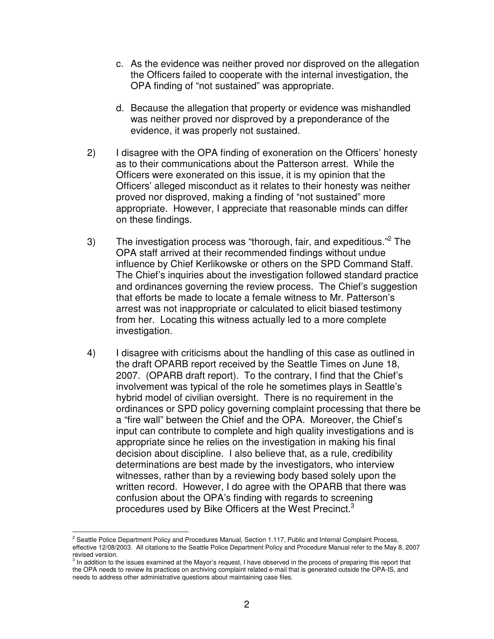- c. As the evidence was neither proved nor disproved on the allegation the Officers failed to cooperate with the internal investigation, the OPA finding of "not sustained" was appropriate.
- d. Because the allegation that property or evidence was mishandled was neither proved nor disproved by a preponderance of the evidence, it was properly not sustained.
- 2) I disagree with the OPA finding of exoneration on the Officers' honesty as to their communications about the Patterson arrest. While the Officers were exonerated on this issue, it is my opinion that the Officers' alleged misconduct as it relates to their honesty was neither proved nor disproved, making a finding of "not sustained" more appropriate. However, I appreciate that reasonable minds can differ on these findings.
- 3) The investigation process was "thorough, fair, and expeditious."<sup>2</sup> The OPA staff arrived at their recommended findings without undue influence by Chief Kerlikowske or others on the SPD Command Staff. The Chief's inquiries about the investigation followed standard practice and ordinances governing the review process. The Chief's suggestion that efforts be made to locate a female witness to Mr. Patterson's arrest was not inappropriate or calculated to elicit biased testimony from her. Locating this witness actually led to a more complete investigation.
- 4) I disagree with criticisms about the handling of this case as outlined in the draft OPARB report received by the Seattle Times on June 18, 2007. (OPARB draft report). To the contrary, I find that the Chief's involvement was typical of the role he sometimes plays in Seattle's hybrid model of civilian oversight. There is no requirement in the ordinances or SPD policy governing complaint processing that there be a "fire wall" between the Chief and the OPA. Moreover, the Chief's input can contribute to complete and high quality investigations and is appropriate since he relies on the investigation in making his final decision about discipline. I also believe that, as a rule, credibility determinations are best made by the investigators, who interview witnesses, rather than by a reviewing body based solely upon the written record. However, I do agree with the OPARB that there was confusion about the OPA's finding with regards to screening procedures used by Bike Officers at the West Precinct.<sup>3</sup>

<sup>&</sup>lt;sup>2</sup> Seattle Police Department Policy and Procedures Manual, Section 1.117, Public and Internal Complaint Process, effective 12/08/2003. All citations to the Seattle Police Department Policy and Procedure Manual refer to the May 8, 2007 revised version.<br><sup>3</sup> In addition to the issues examined at the Mayor's request, I have observed in the process of preparing this report that

the OPA needs to review its practices on archiving complaint related e-mail that is generated outside the OPA-IS, and needs to address other administrative questions about maintaining case files.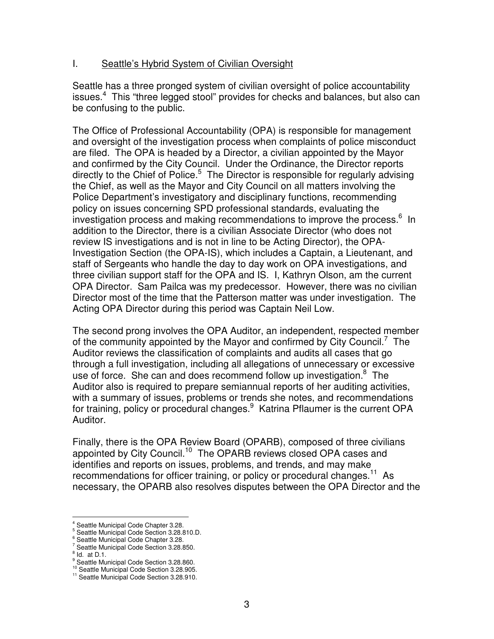### I. Seattle's Hybrid System of Civilian Oversight

Seattle has a three pronged system of civilian oversight of police accountability issues.<sup>4</sup> This "three legged stool" provides for checks and balances, but also can be confusing to the public.

The Office of Professional Accountability (OPA) is responsible for management and oversight of the investigation process when complaints of police misconduct are filed. The OPA is headed by a Director, a civilian appointed by the Mayor and confirmed by the City Council. Under the Ordinance, the Director reports directly to the Chief of Police.<sup>5</sup> The Director is responsible for regularly advising the Chief, as well as the Mayor and City Council on all matters involving the Police Department's investigatory and disciplinary functions, recommending policy on issues concerning SPD professional standards, evaluating the investigation process and making recommendations to improve the process. 6 In addition to the Director, there is a civilian Associate Director (who does not review IS investigations and is not in line to be Acting Director), the OPA-Investigation Section (the OPA-IS), which includes a Captain, a Lieutenant, and staff of Sergeants who handle the day to day work on OPA investigations, and three civilian support staff for the OPA and IS. I, Kathryn Olson, am the current OPA Director. Sam Pailca was my predecessor. However, there was no civilian Director most of the time that the Patterson matter was under investigation. The Acting OPA Director during this period was Captain Neil Low.

The second prong involves the OPA Auditor, an independent, respected member of the community appointed by the Mayor and confirmed by City Council.<sup>7</sup> The Auditor reviews the classification of complaints and audits all cases that go through a full investigation, including all allegations of unnecessary or excessive use of force. She can and does recommend follow up investigation.<sup>8</sup> The Auditor also is required to prepare semiannual reports of her auditing activities, with a summary of issues, problems or trends she notes, and recommendations for training, policy or procedural changes.<sup>9</sup> Katrina Pflaumer is the current OPA Auditor.

Finally, there is the OPA Review Board (OPARB), composed of three civilians appointed by City Council.<sup>10</sup> The OPARB reviews closed OPA cases and identifies and reports on issues, problems, and trends, and may make recommendations for officer training, or policy or procedural changes.<sup>11</sup> As necessary, the OPARB also resolves disputes between the OPA Director and the

Seattle Municipal Code Chapter 3.28.

<sup>5</sup> Seattle Municipal Code Section 3.28.810.D.

<sup>&</sup>lt;sup>6</sup> Seattle Municipal Code Chapter 3.28.

<sup>&</sup>lt;sup>7</sup> Seattle Municipal Code Section 3.28.850.

 $\frac{8}{1}$  Id. at D.1.

<sup>&</sup>lt;sup>9</sup> Seattle Municipal Code Section 3.28.860. <sup>10</sup> Seattle Municipal Code Section 3.28.905.

<sup>&</sup>lt;sup>11</sup> Seattle Municipal Code Section 3.28.910.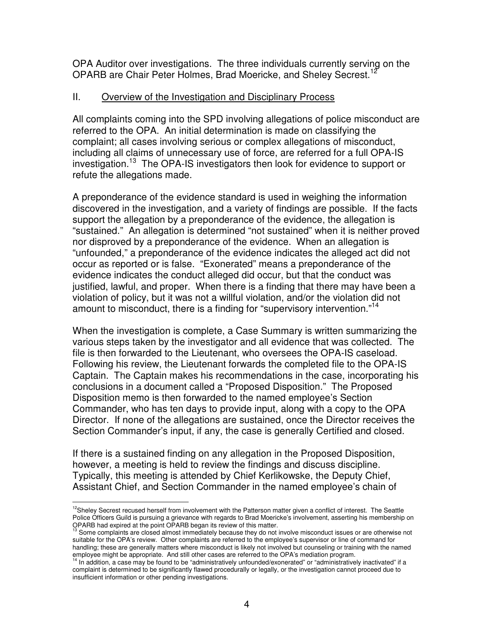OPA Auditor over investigations. The three individuals currently serving on the OPARB are Chair Peter Holmes, Brad Moericke, and Sheley Secrest.<sup>12</sup>

## II. Overview of the Investigation and Disciplinary Process

All complaints coming into the SPD involving allegations of police misconduct are referred to the OPA. An initial determination is made on classifying the complaint; all cases involving serious or complex allegations of misconduct, including all claims of unnecessary use of force, are referred for a full OPA-IS investigation. 13 The OPA-IS investigators then look for evidence to support or refute the allegations made.

A preponderance of the evidence standard is used in weighing the information discovered in the investigation, and a variety of findings are possible. If the facts support the allegation by a preponderance of the evidence, the allegation is "sustained." An allegation is determined "not sustained" when it is neither proved nor disproved by a preponderance of the evidence. When an allegation is "unfounded," a preponderance of the evidence indicates the alleged act did not occur as reported or is false. "Exonerated" means a preponderance of the evidence indicates the conduct alleged did occur, but that the conduct was justified, lawful, and proper. When there is a finding that there may have been a violation of policy, but it was not a willful violation, and/or the violation did not amount to misconduct, there is a finding for "supervisory intervention."<sup>14</sup>

When the investigation is complete, a Case Summary is written summarizing the various steps taken by the investigator and all evidence that was collected. The file is then forwarded to the Lieutenant, who oversees the OPA-IS caseload. Following his review, the Lieutenant forwards the completed file to the OPA-IS Captain. The Captain makes his recommendations in the case, incorporating his conclusions in a document called a "Proposed Disposition." The Proposed Disposition memo is then forwarded to the named employee's Section Commander, who has ten days to provide input, along with a copy to the OPA Director. If none of the allegations are sustained, once the Director receives the Section Commander's input, if any, the case is generally Certified and closed.

If there is a sustained finding on any allegation in the Proposed Disposition, however, a meeting is held to review the findings and discuss discipline. Typically, this meeting is attended by Chief Kerlikowske, the Deputy Chief, Assistant Chief, and Section Commander in the named employee's chain of

<sup>&</sup>lt;sup>12</sup>Sheley Secrest recused herself from involvement with the Patterson matter given a conflict of interest. The Seattle Police Officers Guild is pursuing a grievance with regards to Brad Moericke's involvement, asserting his membership on

OPARB had expired at the point OPARB began its review of this matter.<br><sup>13</sup> Some complaints are closed almost immediately because they do not involve misconduct issues or are otherwise not suitable for the OPA's review. Other complaints are referred to the employee's supervisor or line of command for handling; these are generally matters where misconduct is likely not involved but counseling or training with the named

employee might be appropriate. And still other cases are referred to the OPA's mediation program.<br><sup>14</sup> In addition, a case may be found to be "administratively unfounded/exonerated" or "administratively inactivated" if a complaint is determined to be significantly flawed procedurally or legally, or the investigation cannot proceed due to insufficient information or other pending investigations.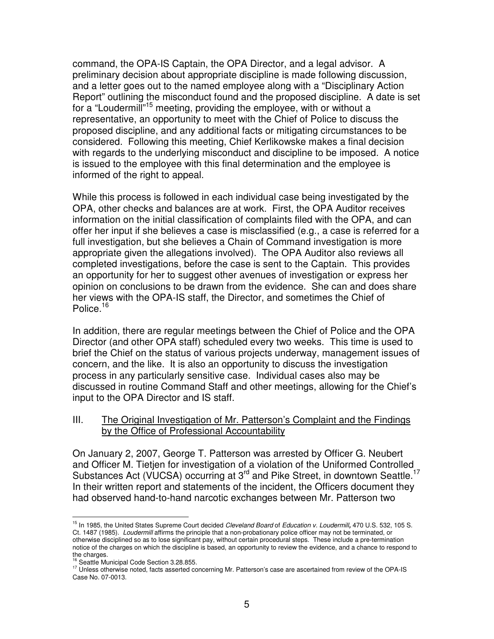command, the OPA-IS Captain, the OPA Director, and a legal advisor. A preliminary decision about appropriate discipline is made following discussion, and a letter goes out to the named employee along with a "Disciplinary Action Report" outlining the misconduct found and the proposed discipline. A date is set for a "Loudermill"<sup>15</sup> meeting, providing the employee, with or without a representative, an opportunity to meet with the Chief of Police to discuss the proposed discipline, and any additional facts or mitigating circumstances to be considered. Following this meeting, Chief Kerlikowske makes a final decision with regards to the underlying misconduct and discipline to be imposed. A notice is issued to the employee with this final determination and the employee is informed of the right to appeal.

While this process is followed in each individual case being investigated by the OPA, other checks and balances are at work. First, the OPA Auditor receives information on the initial classification of complaints filed with the OPA, and can offer her input if she believes a case is misclassified (e.g., a case is referred for a full investigation, but she believes a Chain of Command investigation is more appropriate given the allegations involved). The OPA Auditor also reviews all completed investigations, before the case is sent to the Captain. This provides an opportunity for her to suggest other avenues of investigation or express her opinion on conclusions to be drawn from the evidence. She can and does share her views with the OPA-IS staff, the Director, and sometimes the Chief of Police.<sup>16</sup>

In addition, there are regular meetings between the Chief of Police and the OPA Director (and other OPA staff) scheduled every two weeks. This time is used to brief the Chief on the status of various projects underway, management issues of concern, and the like. It is also an opportunity to discuss the investigation process in any particularly sensitive case. Individual cases also may be discussed in routine Command Staff and other meetings, allowing for the Chief's input to the OPA Director and IS staff.

#### III. The Original Investigation of Mr. Patterson's Complaint and the Findings by the Office of Professional Accountability

On January 2, 2007, George T. Patterson was arrested by Officer G. Neubert and Officer M. Tietjen for investigation of a violation of the Uniformed Controlled Substances Act (VUCSA) occurring at 3<sup>rd</sup> and Pike Street, in downtown Seattle.<sup>17</sup> In their written report and statements of the incident, the Officers document they had observed hand-to-hand narcotic exchanges between Mr. Patterson two

<sup>15</sup> In 1985, the United States Supreme Court decided *Cleveland Board* of *Education v. Loudermill,* 470 U.S. 532, 105 S. Ct. 1487 (1985). *Loudermill* affirms the principle that a non-probationary police officer may not be terminated, or otherwise disciplined so as to lose significant pay, without certain procedural steps. These include a pre-termination notice of the charges on which the discipline is based, an opportunity to review the evidence, and a chance to respond to

the charges. <sup>16</sup> Seattle Municipal Code Section 3.28.855.

<sup>&</sup>lt;sup>17</sup> Unless otherwise noted, facts asserted concerning Mr. Patterson's case are ascertained from review of the OPA-IS Case No. 07-0013.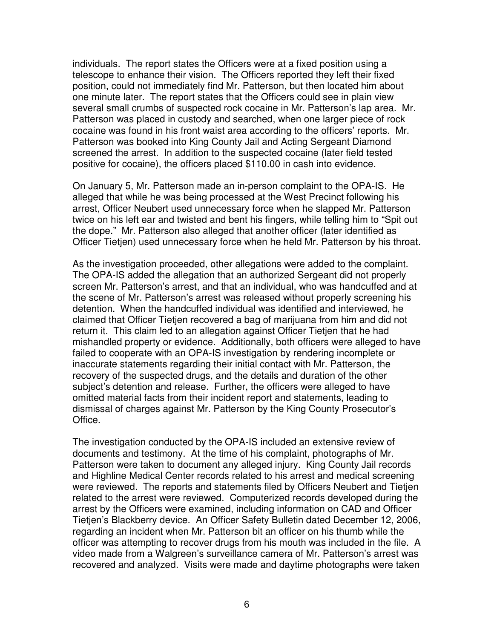individuals. The report states the Officers were at a fixed position using a telescope to enhance their vision. The Officers reported they left their fixed position, could not immediately find Mr. Patterson, but then located him about one minute later. The report states that the Officers could see in plain view several small crumbs of suspected rock cocaine in Mr. Patterson's lap area. Mr. Patterson was placed in custody and searched, when one larger piece of rock cocaine was found in his front waist area according to the officers' reports. Mr. Patterson was booked into King County Jail and Acting Sergeant Diamond screened the arrest. In addition to the suspected cocaine (later field tested positive for cocaine), the officers placed \$110.00 in cash into evidence.

On January 5, Mr. Patterson made an in-person complaint to the OPA-IS*.* He alleged that while he was being processed at the West Precinct following his arrest, Officer Neubert used unnecessary force when he slapped Mr. Patterson twice on his left ear and twisted and bent his fingers, while telling him to "Spit out the dope." Mr. Patterson also alleged that another officer (later identified as Officer Tietjen) used unnecessary force when he held Mr. Patterson by his throat.

As the investigation proceeded, other allegations were added to the complaint. The OPA-IS added the allegation that an authorized Sergeant did not properly screen Mr. Patterson's arrest, and that an individual, who was handcuffed and at the scene of Mr. Patterson's arrest was released without properly screening his detention. When the handcuffed individual was identified and interviewed, he claimed that Officer Tietjen recovered a bag of marijuana from him and did not return it. This claim led to an allegation against Officer Tietjen that he had mishandled property or evidence. Additionally, both officers were alleged to have failed to cooperate with an OPA-IS investigation by rendering incomplete or inaccurate statements regarding their initial contact with Mr. Patterson, the recovery of the suspected drugs, and the details and duration of the other subject's detention and release. Further, the officers were alleged to have omitted material facts from their incident report and statements, leading to dismissal of charges against Mr. Patterson by the King County Prosecutor's Office.

The investigation conducted by the OPA-IS included an extensive review of documents and testimony. At the time of his complaint, photographs of Mr. Patterson were taken to document any alleged injury. King County Jail records and Highline Medical Center records related to his arrest and medical screening were reviewed. The reports and statements filed by Officers Neubert and Tietjen related to the arrest were reviewed. Computerized records developed during the arrest by the Officers were examined, including information on CAD and Officer Tietjen's Blackberry device. An Officer Safety Bulletin dated December 12, 2006, regarding an incident when Mr. Patterson bit an officer on his thumb while the officer was attempting to recover drugs from his mouth was included in the file. A video made from a Walgreen's surveillance camera of Mr. Patterson's arrest was recovered and analyzed. Visits were made and daytime photographs were taken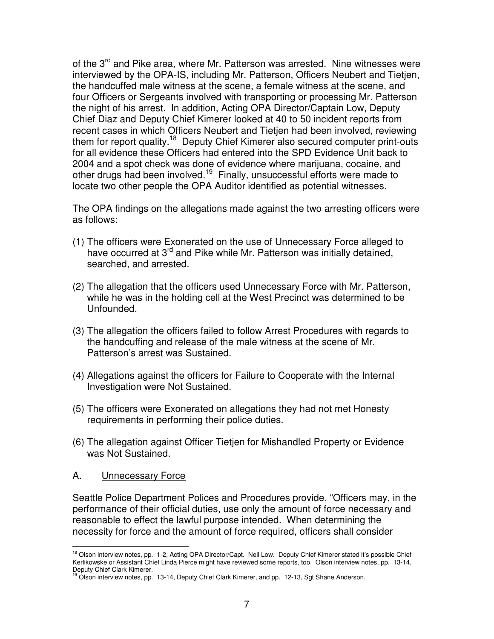of the 3<sup>rd</sup> and Pike area, where Mr. Patterson was arrested. Nine witnesses were interviewed by the OPA-IS, including Mr. Patterson, Officers Neubert and Tietjen, the handcuffed male witness at the scene, a female witness at the scene, and four Officers or Sergeants involved with transporting or processing Mr. Patterson the night of his arrest. In addition, Acting OPA Director/Captain Low, Deputy Chief Diaz and Deputy Chief Kimerer looked at 40 to 50 incident reports from recent cases in which Officers Neubert and Tietjen had been involved, reviewing them for report quality.<sup>18</sup> Deputy Chief Kimerer also secured computer print-outs for all evidence these Officers had entered into the SPD Evidence Unit back to 2004 and a spot check was done of evidence where marijuana, cocaine, and other drugs had been involved.<sup>19</sup> Finally, unsuccessful efforts were made to locate two other people the OPA Auditor identified as potential witnesses.

The OPA findings on the allegations made against the two arresting officers were as follows:

- (1) The officers were Exonerated on the use of Unnecessary Force alleged to have occurred at 3<sup>rd</sup> and Pike while Mr. Patterson was initially detained, searched, and arrested.
- (2) The allegation that the officers used Unnecessary Force with Mr. Patterson, while he was in the holding cell at the West Precinct was determined to be Unfounded.
- (3) The allegation the officers failed to follow Arrest Procedures with regards to the handcuffing and release of the male witness at the scene of Mr. Patterson's arrest was Sustained.
- (4) Allegations against the officers for Failure to Cooperate with the Internal Investigation were Not Sustained.
- (5) The officers were Exonerated on allegations they had not met Honesty requirements in performing their police duties.
- (6) The allegation against Officer Tietjen for Mishandled Property or Evidence was Not Sustained.

### A. Unnecessary Force

Seattle Police Department Polices and Procedures provide, "Officers may, in the performance of their official duties, use only the amount of force necessary and reasonable to effect the lawful purpose intended. When determining the necessity for force and the amount of force required, officers shall consider

<sup>&</sup>lt;sup>18</sup> Olson interview notes, pp. 1-2, Acting OPA Director/Capt. Neil Low. Deputy Chief Kimerer stated it's possible Chief Kerlikowske or Assistant Chief Linda Pierce might have reviewed some reports, too. Olson interview notes, pp. 13-14,

Deputy Chief Clark Kimerer.<br><sup>19</sup> Olson interview notes, pp. 13-14, Deputy Chief Clark Kimerer, and pp. 12-13, Sgt Shane Anderson.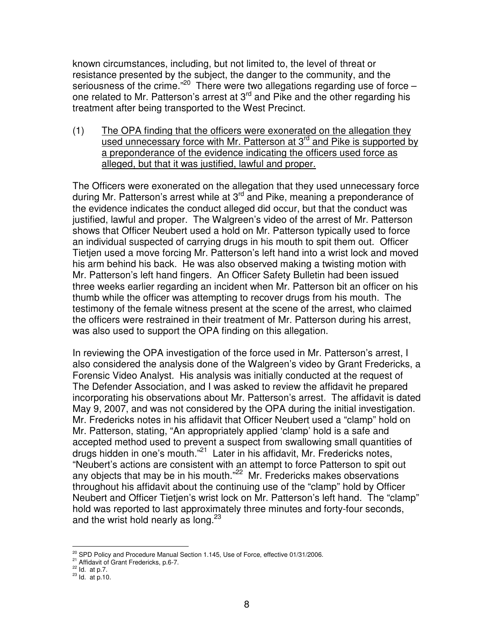known circumstances, including, but not limited to, the level of threat or resistance presented by the subject, the danger to the community, and the seriousness of the crime."<sup>20</sup> There were two allegations regarding use of force one related to Mr. Patterson's arrest at 3<sup>rd</sup> and Pike and the other regarding his treatment after being transported to the West Precinct.

(1) The OPA finding that the officers were exonerated on the allegation they used unnecessary force with Mr. Patterson at 3<sup>rd</sup> and Pike is supported by a preponderance of the evidence indicating the officers used force as alleged, but that it was justified, lawful and proper.

The Officers were exonerated on the allegation that they used unnecessary force during Mr. Patterson's arrest while at 3<sup>rd</sup> and Pike, meaning a preponderance of the evidence indicates the conduct alleged did occur, but that the conduct was justified, lawful and proper. The Walgreen's video of the arrest of Mr. Patterson shows that Officer Neubert used a hold on Mr. Patterson typically used to force an individual suspected of carrying drugs in his mouth to spit them out. Officer Tietjen used a move forcing Mr. Patterson's left hand into a wrist lock and moved his arm behind his back. He was also observed making a twisting motion with Mr. Patterson's left hand fingers. An Officer Safety Bulletin had been issued three weeks earlier regarding an incident when Mr. Patterson bit an officer on his thumb while the officer was attempting to recover drugs from his mouth. The testimony of the female witness present at the scene of the arrest, who claimed the officers were restrained in their treatment of Mr. Patterson during his arrest, was also used to support the OPA finding on this allegation.

In reviewing the OPA investigation of the force used in Mr. Patterson's arrest, I also considered the analysis done of the Walgreen's video by Grant Fredericks, a Forensic Video Analyst. His analysis was initially conducted at the request of The Defender Association, and I was asked to review the affidavit he prepared incorporating his observations about Mr. Patterson's arrest. The affidavit is dated May 9, 2007, and was not considered by the OPA during the initial investigation. Mr. Fredericks notes in his affidavit that Officer Neubert used a "clamp" hold on Mr. Patterson, stating, "An appropriately applied 'clamp' hold is a safe and accepted method used to prevent a suspect from swallowing small quantities of drugs hidden in one's mouth."<sup>21</sup> Later in his affidavit, Mr. Fredericks notes, "Neubert's actions are consistent with an attempt to force Patterson to spit out any objects that may be in his mouth."<sup>22</sup> Mr. Fredericks makes observations throughout his affidavit about the continuing use of the "clamp" hold by Officer Neubert and Officer Tietjen's wrist lock on Mr. Patterson's left hand. The "clamp" hold was reported to last approximately three minutes and forty-four seconds, and the wrist hold nearly as long.<sup>23</sup>

 $20$  SPD Policy and Procedure Manual Section 1.145, Use of Force, effective 01/31/2006.

<sup>&</sup>lt;sup>21</sup> Affidavit of Grant Fredericks, p.6-7.<br>  $\frac{22}{10}$  Id. at p.7.

 $^{23}$  Id. at p.10.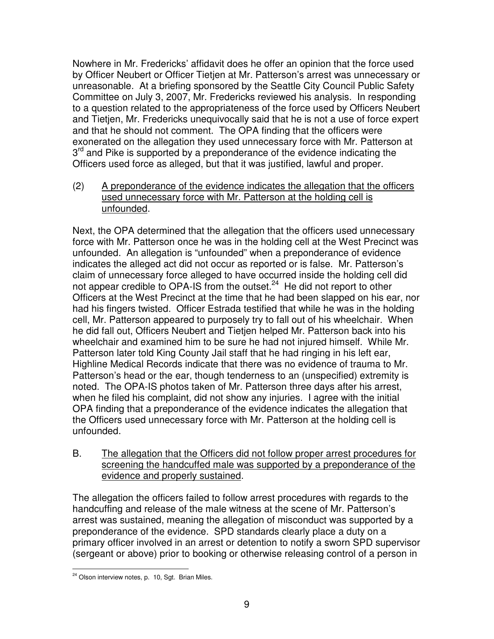Nowhere in Mr. Fredericks' affidavit does he offer an opinion that the force used by Officer Neubert or Officer Tietjen at Mr. Patterson's arrest was unnecessary or unreasonable. At a briefing sponsored by the Seattle City Council Public Safety Committee on July 3, 2007, Mr. Fredericks reviewed his analysis. In responding to a question related to the appropriateness of the force used by Officers Neubert and Tietjen, Mr. Fredericks unequivocally said that he is not a use of force expert and that he should not comment. The OPA finding that the officers were exonerated on the allegation they used unnecessary force with Mr. Patterson at 3<sup>rd</sup> and Pike is supported by a preponderance of the evidence indicating the Officers used force as alleged, but that it was justified, lawful and proper.

(2) A preponderance of the evidence indicates the allegation that the officers used unnecessary force with Mr. Patterson at the holding cell is unfounded.

Next, the OPA determined that the allegation that the officers used unnecessary force with Mr. Patterson once he was in the holding cell at the West Precinct was unfounded. An allegation is "unfounded" when a preponderance of evidence indicates the alleged act did not occur as reported or is false. Mr. Patterson's claim of unnecessary force alleged to have occurred inside the holding cell did not appear credible to OPA-IS from the outset.<sup>24</sup> He did not report to other Officers at the West Precinct at the time that he had been slapped on his ear, nor had his fingers twisted. Officer Estrada testified that while he was in the holding cell, Mr. Patterson appeared to purposely try to fall out of his wheelchair. When he did fall out, Officers Neubert and Tietjen helped Mr. Patterson back into his wheelchair and examined him to be sure he had not injured himself. While Mr. Patterson later told King County Jail staff that he had ringing in his left ear, Highline Medical Records indicate that there was no evidence of trauma to Mr. Patterson's head or the ear, though tenderness to an (unspecified) extremity is noted. The OPA-IS photos taken of Mr. Patterson three days after his arrest, when he filed his complaint, did not show any injuries. I agree with the initial OPA finding that a preponderance of the evidence indicates the allegation that the Officers used unnecessary force with Mr. Patterson at the holding cell is unfounded.

B. The allegation that the Officers did not follow proper arrest procedures for screening the handcuffed male was supported by a preponderance of the evidence and properly sustained.

The allegation the officers failed to follow arrest procedures with regards to the handcuffing and release of the male witness at the scene of Mr. Patterson's arrest was sustained, meaning the allegation of misconduct was supported by a preponderance of the evidence. SPD standards clearly place a duty on a primary officer involved in an arrest or detention to notify a sworn SPD supervisor (sergeant or above) prior to booking or otherwise releasing control of a person in

<sup>&</sup>lt;sup>24</sup> Olson interview notes, p. 10, Sqt. Brian Miles.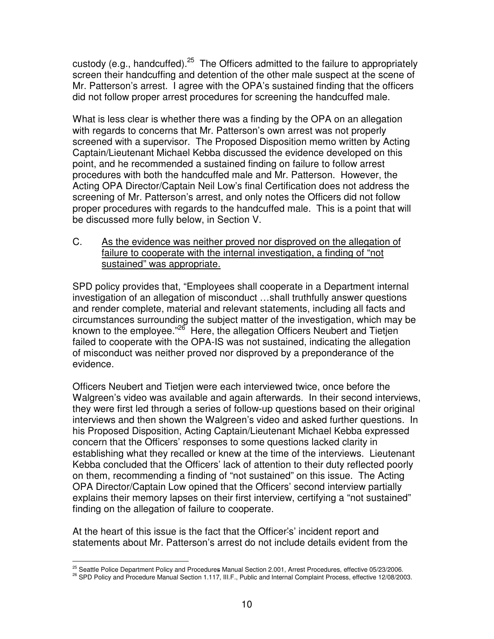custody (e.g., handcuffed).<sup>25</sup> The Officers admitted to the failure to appropriately screen their handcuffing and detention of the other male suspect at the scene of Mr. Patterson's arrest. I agree with the OPA's sustained finding that the officers did not follow proper arrest procedures for screening the handcuffed male.

What is less clear is whether there was a finding by the OPA on an allegation with regards to concerns that Mr. Patterson's own arrest was not properly screened with a supervisor. The Proposed Disposition memo written by Acting Captain/Lieutenant Michael Kebba discussed the evidence developed on this point, and he recommended a sustained finding on failure to follow arrest procedures with both the handcuffed male and Mr. Patterson. However, the Acting OPA Director/Captain Neil Low's final Certification does not address the screening of Mr. Patterson's arrest, and only notes the Officers did not follow proper procedures with regards to the handcuffed male. This is a point that will be discussed more fully below, in Section V.

C. As the evidence was neither proved nor disproved on the allegation of failure to cooperate with the internal investigation, a finding of "not sustained" was appropriate.

SPD policy provides that, "Employees shall cooperate in a Department internal investigation of an allegation of misconduct …shall truthfully answer questions and render complete, material and relevant statements, including all facts and circumstances surrounding the subject matter of the investigation, which may be known to the employee."<sup>26</sup> Here, the allegation Officers Neubert and Tietjen failed to cooperate with the OPA-IS was not sustained, indicating the allegation of misconduct was neither proved nor disproved by a preponderance of the evidence.

Officers Neubert and Tietjen were each interviewed twice, once before the Walgreen's video was available and again afterwards. In their second interviews, they were first led through a series of follow-up questions based on their original interviews and then shown the Walgreen's video and asked further questions. In his Proposed Disposition, Acting Captain/Lieutenant Michael Kebba expressed concern that the Officers' responses to some questions lacked clarity in establishing what they recalled or knew at the time of the interviews. Lieutenant Kebba concluded that the Officers' lack of attention to their duty reflected poorly on them, recommending a finding of "not sustained" on this issue. The Acting OPA Director/Captain Low opined that the Officers' second interview partially explains their memory lapses on their first interview, certifying a "not sustained" finding on the allegation of failure to cooperate.

At the heart of this issue is the fact that the Officer's' incident report and statements about Mr. Patterson's arrest do not include details evident from the

<sup>&</sup>lt;sup>25</sup> Seattle Police Department Policy and Procedures Manual Section 2.001, Arrest Procedures, effective 05/23/2006.

<sup>26</sup> SPD Policy and Procedure Manual Section 1.117, III.F., Public and Internal Complaint Process, effective 12/08/2003.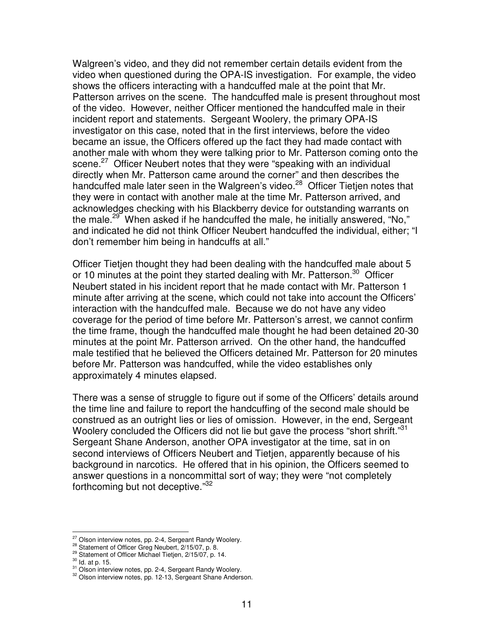Walgreen's video, and they did not remember certain details evident from the video when questioned during the OPA-IS investigation. For example, the video shows the officers interacting with a handcuffed male at the point that Mr. Patterson arrives on the scene. The handcuffed male is present throughout most of the video. However, neither Officer mentioned the handcuffed male in their incident report and statements. Sergeant Woolery, the primary OPA-IS investigator on this case, noted that in the first interviews, before the video became an issue, the Officers offered up the fact they had made contact with another male with whom they were talking prior to Mr. Patterson coming onto the scene.<sup>27</sup> Officer Neubert notes that they were "speaking with an individual directly when Mr. Patterson came around the corner" and then describes the handcuffed male later seen in the Walgreen's video.<sup>28</sup> Officer Tietjen notes that they were in contact with another male at the time Mr. Patterson arrived, and acknowledges checking with his Blackberry device for outstanding warrants on the male.<sup>29</sup> When asked if he handcuffed the male, he initially answered, "No," and indicated he did not think Officer Neubert handcuffed the individual, either; "I don't remember him being in handcuffs at all."

Officer Tietjen thought they had been dealing with the handcuffed male about 5 or 10 minutes at the point they started dealing with Mr. Patterson.<sup>30</sup> Officer Neubert stated in his incident report that he made contact with Mr. Patterson 1 minute after arriving at the scene, which could not take into account the Officers' interaction with the handcuffed male. Because we do not have any video coverage for the period of time before Mr. Patterson's arrest, we cannot confirm the time frame, though the handcuffed male thought he had been detained 20-30 minutes at the point Mr. Patterson arrived. On the other hand, the handcuffed male testified that he believed the Officers detained Mr. Patterson for 20 minutes before Mr. Patterson was handcuffed, while the video establishes only approximately 4 minutes elapsed.

There was a sense of struggle to figure out if some of the Officers' details around the time line and failure to report the handcuffing of the second male should be construed as an outright lies or lies of omission. However, in the end, Sergeant Woolery concluded the Officers did not lie but gave the process "short shrift."<sup>31</sup> Sergeant Shane Anderson, another OPA investigator at the time, sat in on second interviews of Officers Neubert and Tietjen, apparently because of his background in narcotics. He offered that in his opinion, the Officers seemed to answer questions in a noncommittal sort of way; they were "not completely forthcoming but not deceptive."<sup>32</sup>

<sup>&</sup>lt;sup>27</sup> Olson interview notes, pp. 2-4, Sergeant Randy Woolery.

<sup>&</sup>lt;sup>28</sup> Statement of Officer Greg Neubert, 2/15/07, p. 8.

<sup>&</sup>lt;sup>29</sup> Statement of Officer Michael Tietjen, 2/15/07, p. 14.

 $30$  ld. at p. 15.

<sup>&</sup>lt;sup>31</sup> Olson interview notes, pp. 2-4, Sergeant Randy Woolery.

<sup>&</sup>lt;sup>32</sup> Olson interview notes, pp. 12-13, Sergeant Shane Anderson.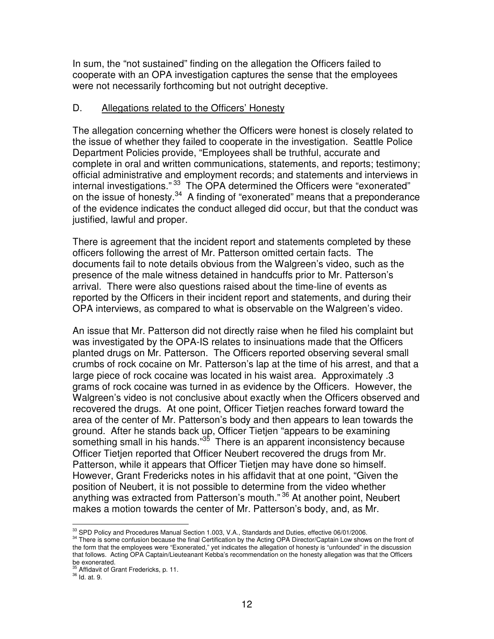In sum, the "not sustained" finding on the allegation the Officers failed to cooperate with an OPA investigation captures the sense that the employees were not necessarily forthcoming but not outright deceptive.

### D. Allegations related to the Officers' Honesty

The allegation concerning whether the Officers were honest is closely related to the issue of whether they failed to cooperate in the investigation. Seattle Police Department Policies provide, "Employees shall be truthful, accurate and complete in oral and written communications, statements, and reports; testimony; official administrative and employment records; and statements and interviews in internal investigations."<sup>33</sup> The OPA determined the Officers were "exonerated" on the issue of honesty.<sup>34</sup> A finding of "exonerated" means that a preponderance of the evidence indicates the conduct alleged did occur, but that the conduct was justified, lawful and proper.

There is agreement that the incident report and statements completed by these officers following the arrest of Mr. Patterson omitted certain facts. The documents fail to note details obvious from the Walgreen's video, such as the presence of the male witness detained in handcuffs prior to Mr. Patterson's arrival. There were also questions raised about the time-line of events as reported by the Officers in their incident report and statements, and during their OPA interviews, as compared to what is observable on the Walgreen's video.

An issue that Mr. Patterson did not directly raise when he filed his complaint but was investigated by the OPA-IS relates to insinuations made that the Officers planted drugs on Mr. Patterson. The Officers reported observing several small crumbs of rock cocaine on Mr. Patterson's lap at the time of his arrest, and that a large piece of rock cocaine was located in his waist area. Approximately .3 grams of rock cocaine was turned in as evidence by the Officers. However, the Walgreen's video is not conclusive about exactly when the Officers observed and recovered the drugs. At one point, Officer Tietjen reaches forward toward the area of the center of Mr. Patterson's body and then appears to lean towards the ground. After he stands back up, Officer Tietjen "appears to be examining something small in his hands."<sup>35</sup> There is an apparent inconsistency because Officer Tietjen reported that Officer Neubert recovered the drugs from Mr. Patterson, while it appears that Officer Tietjen may have done so himself. However, Grant Fredericks notes in his affidavit that at one point, "Given the position of Neubert, it is not possible to determine from the video whether anything was extracted from Patterson's mouth." <sup>36</sup> At another point, Neubert makes a motion towards the center of Mr. Patterson's body, and, as Mr.

<sup>33</sup> SPD Policy and Procedures Manual Section 1.003, V.A., Standards and Duties, effective 06/01/2006.

<sup>&</sup>lt;sup>34</sup> There is some confusion because the final Certification by the Acting OPA Director/Captain Low shows on the front of the form that the employees were "Exonerated," yet indicates the allegation of honesty is "unfounded" in the discussion that follows. Acting OPA Captain/Lieuteanant Kebba's recommendation on the honesty allegation was that the Officers

be exonerated.<br><sup>35</sup> Affidavit of Grant Fredericks, p. 11.

<sup>&</sup>lt;sup>36</sup> ld. at. 9.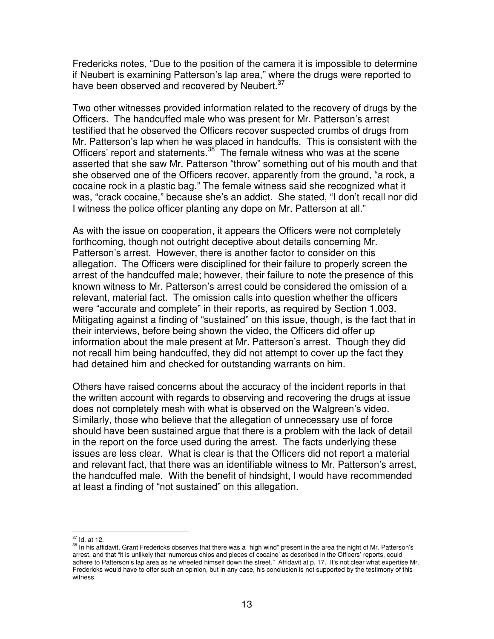Fredericks notes, "Due to the position of the camera it is impossible to determine if Neubert is examining Patterson's lap area," where the drugs were reported to have been observed and recovered by Neubert.<sup>37</sup>

Two other witnesses provided information related to the recovery of drugs by the Officers. The handcuffed male who was present for Mr. Patterson's arrest testified that he observed the Officers recover suspected crumbs of drugs from Mr. Patterson's lap when he was placed in handcuffs. This is consistent with the Officers' report and statements.<sup>38</sup> The female witness who was at the scene asserted that she saw Mr. Patterson "throw" something out of his mouth and that she observed one of the Officers recover, apparently from the ground, "a rock, a cocaine rock in a plastic bag." The female witness said she recognized what it was, "crack cocaine," because she's an addict. She stated, "I don't recall nor did I witness the police officer planting any dope on Mr. Patterson at all."

As with the issue on cooperation, it appears the Officers were not completely forthcoming, though not outright deceptive about details concerning Mr. Patterson's arrest. However, there is another factor to consider on this allegation. The Officers were disciplined for their failure to properly screen the arrest of the handcuffed male; however, their failure to note the presence of this known witness to Mr. Patterson's arrest could be considered the omission of a relevant, material fact. The omission calls into question whether the officers were "accurate and complete" in their reports, as required by Section 1.003. Mitigating against a finding of "sustained" on this issue, though, is the fact that in their interviews, before being shown the video, the Officers did offer up information about the male present at Mr. Patterson's arrest. Though they did not recall him being handcuffed, they did not attempt to cover up the fact they had detained him and checked for outstanding warrants on him.

Others have raised concerns about the accuracy of the incident reports in that the written account with regards to observing and recovering the drugs at issue does not completely mesh with what is observed on the Walgreen's video. Similarly, those who believe that the allegation of unnecessary use of force should have been sustained argue that there is a problem with the lack of detail in the report on the force used during the arrest. The facts underlying these issues are less clear. What is clear is that the Officers did not report a material and relevant fact, that there was an identifiable witness to Mr. Patterson's arrest, the handcuffed male. With the benefit of hindsight, I would have recommended at least a finding of "not sustained" on this allegation.

 $37$  Id. at 12.

<sup>&</sup>lt;sup>38</sup> In his affidavit, Grant Fredericks observes that there was a "high wind" present in the area the night of Mr. Patterson's arrest, and that "it is unlikely that 'numerous chips and pieces of cocaine' as described in the Officers' reports, could adhere to Patterson's lap area as he wheeled himself down the street." Affidavit at p. 17. It's not clear what expertise Mr. Fredericks would have to offer such an opinion, but in any case, his conclusion is not supported by the testimony of this witness.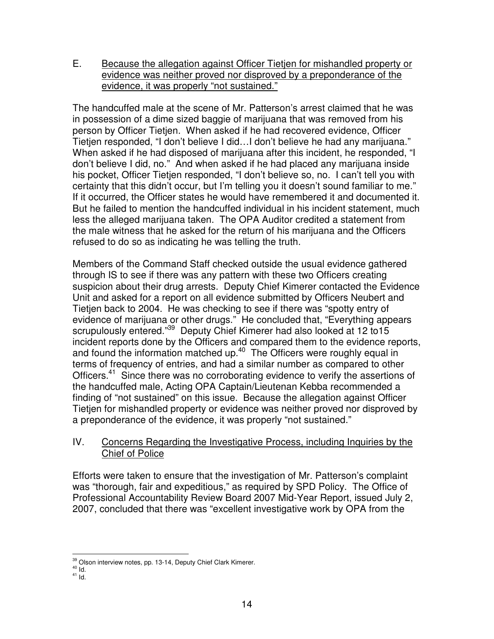E. Because the allegation against Officer Tietjen for mishandled property or evidence was neither proved nor disproved by a preponderance of the evidence, it was properly "not sustained."

The handcuffed male at the scene of Mr. Patterson's arrest claimed that he was in possession of a dime sized baggie of marijuana that was removed from his person by Officer Tietjen. When asked if he had recovered evidence, Officer Tietjen responded, "I don't believe I did…I don't believe he had any marijuana." When asked if he had disposed of marijuana after this incident, he responded, "I don't believe I did, no." And when asked if he had placed any marijuana inside his pocket, Officer Tietjen responded, "I don't believe so, no. I can't tell you with certainty that this didn't occur, but I'm telling you it doesn't sound familiar to me." If it occurred, the Officer states he would have remembered it and documented it. But he failed to mention the handcuffed individual in his incident statement, much less the alleged marijuana taken. The OPA Auditor credited a statement from the male witness that he asked for the return of his marijuana and the Officers refused to do so as indicating he was telling the truth.

Members of the Command Staff checked outside the usual evidence gathered through IS to see if there was any pattern with these two Officers creating suspicion about their drug arrests. Deputy Chief Kimerer contacted the Evidence Unit and asked for a report on all evidence submitted by Officers Neubert and Tietjen back to 2004. He was checking to see if there was "spotty entry of evidence of marijuana or other drugs." He concluded that, "Everything appears scrupulously entered."<sup>39</sup> Deputy Chief Kimerer had also looked at 12 to15 incident reports done by the Officers and compared them to the evidence reports, and found the information matched up.<sup>40</sup> The Officers were roughly equal in terms of frequency of entries, and had a similar number as compared to other Officers.<sup>41</sup> Since there was no corroborating evidence to verify the assertions of the handcuffed male, Acting OPA Captain/Lieutenan Kebba recommended a finding of "not sustained" on this issue. Because the allegation against Officer Tietjen for mishandled property or evidence was neither proved nor disproved by a preponderance of the evidence, it was properly "not sustained."

# IV. Concerns Regarding the Investigative Process, including Inquiries by the Chief of Police

Efforts were taken to ensure that the investigation of Mr. Patterson's complaint was "thorough, fair and expeditious," as required by SPD Policy. The Office of Professional Accountability Review Board 2007 Mid-Year Report, issued July 2, 2007, concluded that there was "excellent investigative work by OPA from the

<sup>&</sup>lt;sup>39</sup> Olson interview notes, pp. 13-14, Deputy Chief Clark Kimerer.

 $10<sup>40</sup>$  Id.

 $41$  Id.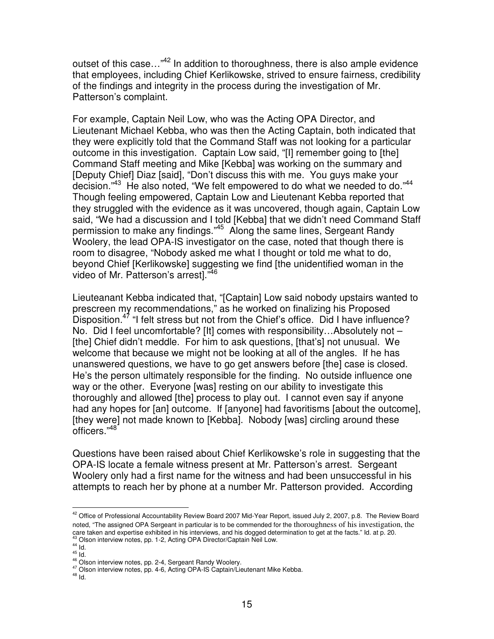outset of this case..."<sup>42</sup> In addition to thoroughness, there is also ample evidence that employees, including Chief Kerlikowske, strived to ensure fairness, credibility of the findings and integrity in the process during the investigation of Mr. Patterson's complaint.

For example, Captain Neil Low, who was the Acting OPA Director, and Lieutenant Michael Kebba, who was then the Acting Captain, both indicated that they were explicitly told that the Command Staff was not looking for a particular outcome in this investigation. Captain Low said, "[I] remember going to [the] Command Staff meeting and Mike [Kebba] was working on the summary and [Deputy Chief] Diaz [said], "Don't discuss this with me. You guys make your decision."<sup>43</sup> He also noted, "We felt empowered to do what we needed to do."<sup>44</sup> Though feeling empowered, Captain Low and Lieutenant Kebba reported that they struggled with the evidence as it was uncovered, though again, Captain Low said, "We had a discussion and I told [Kebba] that we didn't need Command Staff permission to make any findings."<sup>45</sup> Along the same lines, Sergeant Randy Woolery, the lead OPA-IS investigator on the case, noted that though there is room to disagree, "Nobody asked me what I thought or told me what to do, beyond Chief [Kerlikowske] suggesting we find [the unidentified woman in the video of Mr. Patterson's arrest]." 46

Lieuteanant Kebba indicated that, "[Captain] Low said nobody upstairs wanted to prescreen my recommendations," as he worked on finalizing his Proposed Disposition.<sup>47</sup> "I felt stress but not from the Chief's office. Did I have influence? No. Did I feel uncomfortable? [It] comes with responsibility…Absolutely not – [the] Chief didn't meddle. For him to ask questions, [that's] not unusual. We welcome that because we might not be looking at all of the angles. If he has unanswered questions, we have to go get answers before [the] case is closed. He's the person ultimately responsible for the finding. No outside influence one way or the other. Everyone [was] resting on our ability to investigate this thoroughly and allowed [the] process to play out. I cannot even say if anyone had any hopes for [an] outcome. If [anyone] had favoritisms [about the outcome], [they were] not made known to [Kebba]. Nobody [was] circling around these officers." 48

Questions have been raised about Chief Kerlikowske's role in suggesting that the OPA-IS locate a female witness present at Mr. Patterson's arrest. Sergeant Woolery only had a first name for the witness and had been unsuccessful in his attempts to reach her by phone at a number Mr. Patterson provided. According

<sup>&</sup>lt;sup>42</sup> Office of Professional Accountability Review Board 2007 Mid-Year Report, issued July 2, 2007, p.8. The Review Board noted, "The assigned OPA Sergeant in particular is to be commended for the thoroughness of his investigation, the care taken and expertise exhibited in his interviews, and his dogged determination to get at the facts." Id. at p. 20.<br><sup>43</sup> Olson interview notes, pp. 1-2, Acting OPA Director/Captain Neil Low.

 $\frac{44}{15}$  ld.

<sup>46</sup> Olson interview notes, pp. 2-4, Sergeant Randy Woolery.

<sup>47</sup> Olson interview notes, pp. 4-6, Acting OPA-IS Captain/Lieutenant Mike Kebba.

 $48$  Id.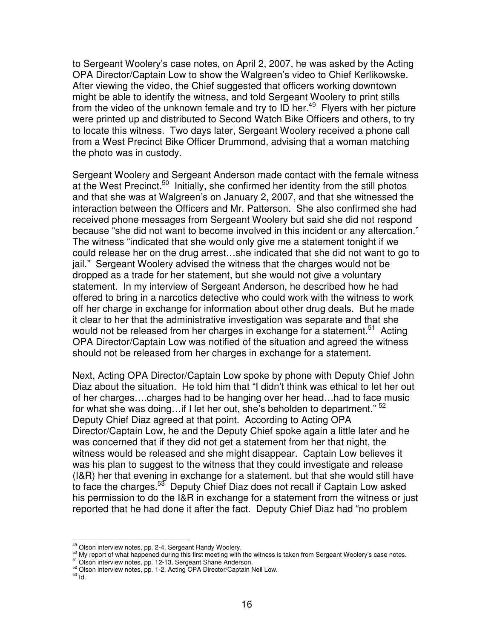to Sergeant Woolery's case notes, on April 2, 2007, he was asked by the Acting OPA Director/Captain Low to show the Walgreen's video to Chief Kerlikowske. After viewing the video, the Chief suggested that officers working downtown might be able to identify the witness, and told Sergeant Woolery to print stills from the video of the unknown female and try to ID her.<sup>49</sup> Flyers with her picture were printed up and distributed to Second Watch Bike Officers and others, to try to locate this witness. Two days later, Sergeant Woolery received a phone call from a West Precinct Bike Officer Drummond, advising that a woman matching the photo was in custody.

Sergeant Woolery and Sergeant Anderson made contact with the female witness at the West Precinct.<sup>50</sup> Initially, she confirmed her identity from the still photos and that she was at Walgreen's on January 2, 2007, and that she witnessed the interaction between the Officers and Mr. Patterson. She also confirmed she had received phone messages from Sergeant Woolery but said she did not respond because "she did not want to become involved in this incident or any altercation." The witness "indicated that she would only give me a statement tonight if we could release her on the drug arrest…she indicated that she did not want to go to jail." Sergeant Woolery advised the witness that the charges would not be dropped as a trade for her statement, but she would not give a voluntary statement. In my interview of Sergeant Anderson, he described how he had offered to bring in a narcotics detective who could work with the witness to work off her charge in exchange for information about other drug deals. But he made it clear to her that the administrative investigation was separate and that she would not be released from her charges in exchange for a statement.<sup>51</sup> Acting OPA Director/Captain Low was notified of the situation and agreed the witness should not be released from her charges in exchange for a statement.

Next, Acting OPA Director/Captain Low spoke by phone with Deputy Chief John Diaz about the situation. He told him that "I didn't think was ethical to let her out of her charges….charges had to be hanging over her head…had to face music for what she was doing...if I let her out, she's beholden to department." <sup>52</sup> Deputy Chief Diaz agreed at that point. According to Acting OPA Director/Captain Low, he and the Deputy Chief spoke again a little later and he was concerned that if they did not get a statement from her that night, the witness would be released and she might disappear. Captain Low believes it was his plan to suggest to the witness that they could investigate and release (I&R) her that evening in exchange for a statement, but that she would still have to face the charges.<sup>53</sup> Deputy Chief Diaz does not recall if Captain Low asked his permission to do the I&R in exchange for a statement from the witness or just reported that he had done it after the fact. Deputy Chief Diaz had "no problem

<sup>&</sup>lt;sup>49</sup> Olson interview notes, pp. 2-4, Sergeant Randy Woolery.

<sup>&</sup>lt;sup>50</sup> My report of what happened during this first meeting with the witness is taken from Sergeant Woolery's case notes.

<sup>&</sup>lt;sup>51</sup> Olson interview notes, pp. 12-13, Sergeant Shane Anderson.

<sup>&</sup>lt;sup>52</sup> Olson interview notes, pp. 1-2, Acting OPA Director/Captain Neil Low.

 $^{53}$  Id.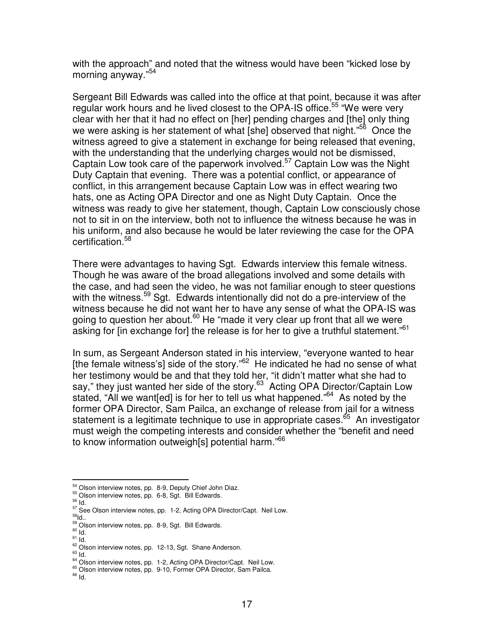with the approach" and noted that the witness would have been "kicked lose by morning anyway." 54

Sergeant Bill Edwards was called into the office at that point, because it was after regular work hours and he lived closest to the OPA-IS office.<sup>55</sup> "We were very clear with her that it had no effect on [her] pending charges and [the] only thing we were asking is her statement of what [she] observed that night."<sup>56</sup> Once the witness agreed to give a statement in exchange for being released that evening, with the understanding that the underlying charges would not be dismissed, Captain Low took care of the paperwork involved. <sup>57</sup> Captain Low was the Night Duty Captain that evening. There was a potential conflict, or appearance of conflict, in this arrangement because Captain Low was in effect wearing two hats, one as Acting OPA Director and one as Night Duty Captain. Once the witness was ready to give her statement, though, Captain Low consciously chose not to sit in on the interview, both not to influence the witness because he was in his uniform, and also because he would be later reviewing the case for the OPA certification. 58

There were advantages to having Sgt. Edwards interview this female witness. Though he was aware of the broad allegations involved and some details with the case, and had seen the video, he was not familiar enough to steer questions with the witness.<sup>59</sup> Sgt. Edwards intentionally did not do a pre-interview of the witness because he did not want her to have any sense of what the OPA-IS was going to question her about.<sup>60</sup> He "made it very clear up front that all we were asking for [in exchange for] the release is for her to give a truthful statement."<sup>61</sup>

In sum, as Sergeant Anderson stated in his interview, "everyone wanted to hear [the female witness's] side of the story."<sup>62</sup> He indicated he had no sense of what her testimony would be and that they told her, "it didn't matter what she had to say," they just wanted her side of the story.<sup>63</sup> Acting OPA Director/Captain Low stated, "All we want[ed] is for her to tell us what happened."<sup>64</sup> As noted by the former OPA Director, Sam Pailca, an exchange of release from jail for a witness statement is a legitimate technique to use in appropriate cases.<sup>65</sup> An investigator must weigh the competing interests and consider whether the "benefit and need to know information outweigh[s] potential harm."<sup>66</sup>

<sup>54</sup> Olson interview notes, pp. 8-9, Deputy Chief John Diaz.

<sup>55</sup> Olson interview notes, pp. 6-8, Sgt. Bill Edwards.

<sup>56</sup> Id.

<sup>&</sup>lt;sup>57</sup> See Olson interview notes, pp. 1-2, Acting OPA Director/Capt. Neil Low.

 $^{58}$ ld.. <sup>59</sup> Olson interview notes, pp. 8-9, Sgt. Bill Edwards.

 $^{60}$  Id.

 $\frac{61}{1}$ ld.

<sup>&</sup>lt;sup>62</sup> Olson interview notes, pp. 12-13, Sgt. Shane Anderson.

 $\frac{63}{1}$ ld.

<sup>&</sup>lt;sup>64</sup> Olson interview notes, pp. 1-2, Acting OPA Director/Capt. Neil Low.

<sup>&</sup>lt;sup>65</sup> Olson interview notes, pp. 9-10, Former OPA Director, Sam Pailca.

<sup>&</sup>lt;sup>66</sup> Id.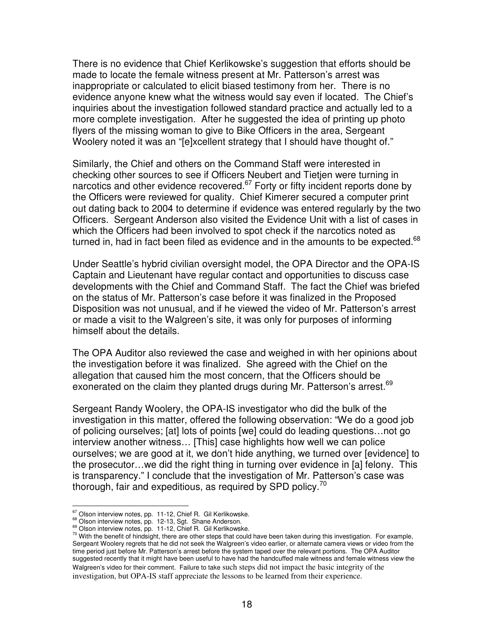There is no evidence that Chief Kerlikowske's suggestion that efforts should be made to locate the female witness present at Mr. Patterson's arrest was inappropriate or calculated to elicit biased testimony from her. There is no evidence anyone knew what the witness would say even if located. The Chief's inquiries about the investigation followed standard practice and actually led to a more complete investigation. After he suggested the idea of printing up photo flyers of the missing woman to give to Bike Officers in the area, Sergeant Woolery noted it was an "[e]xcellent strategy that I should have thought of."

Similarly, the Chief and others on the Command Staff were interested in checking other sources to see if Officers Neubert and Tietjen were turning in narcotics and other evidence recovered.<sup>67</sup> Forty or fifty incident reports done by the Officers were reviewed for quality. Chief Kimerer secured a computer print out dating back to 2004 to determine if evidence was entered regularly by the two Officers. Sergeant Anderson also visited the Evidence Unit with a list of cases in which the Officers had been involved to spot check if the narcotics noted as turned in, had in fact been filed as evidence and in the amounts to be expected.<sup>68</sup>

Under Seattle's hybrid civilian oversight model, the OPA Director and the OPA-IS Captain and Lieutenant have regular contact and opportunities to discuss case developments with the Chief and Command Staff. The fact the Chief was briefed on the status of Mr. Patterson's case before it was finalized in the Proposed Disposition was not unusual, and if he viewed the video of Mr. Patterson's arrest or made a visit to the Walgreen's site, it was only for purposes of informing himself about the details.

The OPA Auditor also reviewed the case and weighed in with her opinions about the investigation before it was finalized. She agreed with the Chief on the allegation that caused him the most concern, that the Officers should be exonerated on the claim they planted drugs during Mr. Patterson's arrest.<sup>69</sup>

Sergeant Randy Woolery, the OPA-IS investigator who did the bulk of the investigation in this matter, offered the following observation: "We do a good job of policing ourselves; [at] lots of points [we] could do leading questions…not go interview another witness… [This] case highlights how well we can police ourselves; we are good at it, we don't hide anything, we turned over [evidence] to the prosecutor…we did the right thing in turning over evidence in [a] felony. This is transparency." I conclude that the investigation of Mr. Patterson's case was thorough, fair and expeditious, as required by SPD policy.<sup>70</sup>

<sup>&</sup>lt;sup>67</sup> Olson interview notes, pp. 11-12, Chief R. Gil Kerlikowske.

<sup>&</sup>lt;sup>68</sup> Olson interview notes, pp. 12-13, Sgt. Shane Anderson.

<sup>69</sup> Olson interview notes, pp. 11-12, Chief R. Gil Kerlikowske.

 $70$  With the benefit of hindsight, there are other steps that could have been taken during this investigation. For example, Sergeant Woolery regrets that he did not seek the Walgreen's video earlier, or alternate camera views or video from the time period just before Mr. Patterson's arrest before the system taped over the relevant portions. The OPA Auditor suggested recently that it might have been useful to have had the handcuffed male witness and female witness view the Walgreen's video for their comment. Failure to take such steps did not impact the basic integrity of the investigation, but OPA-IS staff appreciate the lessons to be learned from their experience.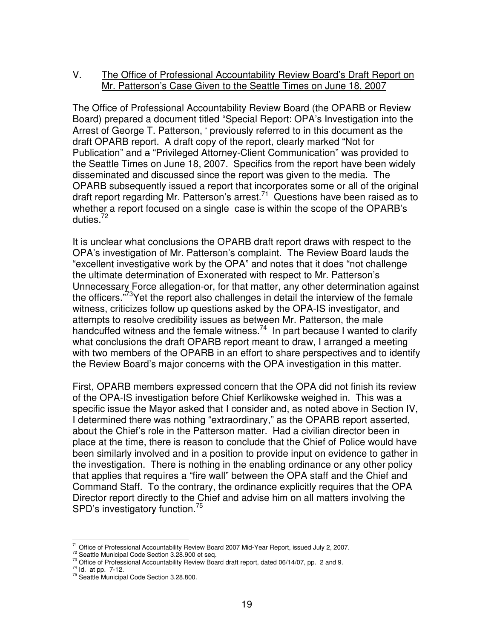## V. The Office of Professional Accountability Review Board's Draft Report on Mr. Patterson's Case Given to the Seattle Times on June 18, 2007

The Office of Professional Accountability Review Board (the OPARB or Review Board) prepared a document titled "Special Report: OPA's Investigation into the Arrest of George T. Patterson, ' previously referred to in this document as the draft OPARB report. A draft copy of the report, clearly marked "Not for Publication" and a "Privileged Attorney-Client Communication" was provided to the Seattle Times on June 18, 2007. Specifics from the report have been widely disseminated and discussed since the report was given to the media. The OPARB subsequently issued a report that incorporates some or all of the original draft report regarding Mr. Patterson's arrest.<sup>71</sup> Questions have been raised as to whether a report focused on a single case is within the scope of the OPARB's duties. 72

It is unclear what conclusions the OPARB draft report draws with respect to the OPA's investigation of Mr. Patterson's complaint. The Review Board lauds the "excellent investigative work by the OPA" and notes that it does "not challenge the ultimate determination of Exonerated with respect to Mr. Patterson's Unnecessary Force allegation-or, for that matter, any other determination against the officers."<sup>73</sup>Yet the report also challenges in detail the interview of the female witness, criticizes follow up questions asked by the OPA-IS investigator, and attempts to resolve credibility issues as between Mr. Patterson, the male handcuffed witness and the female witness.<sup>74</sup> In part because I wanted to clarify what conclusions the draft OPARB report meant to draw, I arranged a meeting with two members of the OPARB in an effort to share perspectives and to identify the Review Board's major concerns with the OPA investigation in this matter.

First, OPARB members expressed concern that the OPA did not finish its review of the OPA-IS investigation before Chief Kerlikowske weighed in. This was a specific issue the Mayor asked that I consider and, as noted above in Section IV, I determined there was nothing "extraordinary," as the OPARB report asserted, about the Chief's role in the Patterson matter. Had a civilian director been in place at the time, there is reason to conclude that the Chief of Police would have been similarly involved and in a position to provide input on evidence to gather in the investigation. There is nothing in the enabling ordinance or any other policy that applies that requires a "fire wall" between the OPA staff and the Chief and Command Staff. To the contrary, the ordinance explicitly requires that the OPA Director report directly to the Chief and advise him on all matters involving the SPD's investigatory function.<sup>75</sup>

<sup>&</sup>lt;sup>71</sup> Office of Professional Accountability Review Board 2007 Mid-Year Report, issued July 2, 2007.

 $72^7$  Seattle Municipal Code Section 3.28.900 et seq.

<sup>73</sup> Office of Professional Accountability Review Board draft report, dated 06/14/07, pp. 2 and 9.

 $^{74}$  ld. at pp. 7-12.

<sup>&</sup>lt;sup>75</sup> Seattle Municipal Code Section 3.28.800.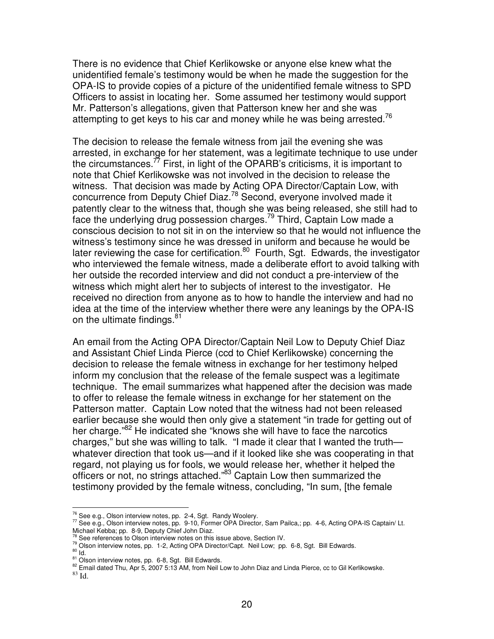There is no evidence that Chief Kerlikowske or anyone else knew what the unidentified female's testimony would be when he made the suggestion for the OPA-IS to provide copies of a picture of the unidentified female witness to SPD Officers to assist in locating her. Some assumed her testimony would support Mr. Patterson's allegations, given that Patterson knew her and she was attempting to get keys to his car and money while he was being arrested.<sup>76</sup>

The decision to release the female witness from jail the evening she was arrested, in exchange for her statement, was a legitimate technique to use under the circumstances.<sup>77</sup> First, in light of the OPARB's criticisms, it is important to note that Chief Kerlikowske was not involved in the decision to release the witness. That decision was made by Acting OPA Director/Captain Low, with concurrence from Deputy Chief Diaz.<sup>78</sup> Second, everyone involved made it patently clear to the witness that, though she was being released, she still had to face the underlying drug possession charges.<sup>79</sup> Third, Captain Low made a conscious decision to not sit in on the interview so that he would not influence the witness's testimony since he was dressed in uniform and because he would be later reviewing the case for certification.<sup>80</sup> Fourth, Sgt. Edwards, the investigator who interviewed the female witness, made a deliberate effort to avoid talking with her outside the recorded interview and did not conduct a pre-interview of the witness which might alert her to subjects of interest to the investigator. He received no direction from anyone as to how to handle the interview and had no idea at the time of the interview whether there were any leanings by the OPA-IS on the ultimate findings.<sup>81</sup>

An email from the Acting OPA Director/Captain Neil Low to Deputy Chief Diaz and Assistant Chief Linda Pierce (ccd to Chief Kerlikowske) concerning the decision to release the female witness in exchange for her testimony helped inform my conclusion that the release of the female suspect was a legitimate technique. The email summarizes what happened after the decision was made to offer to release the female witness in exchange for her statement on the Patterson matter. Captain Low noted that the witness had not been released earlier because she would then only give a statement "in trade for getting out of her charge."<sup>82</sup> He indicated she "knows she will have to face the narcotics charges," but she was willing to talk. "I made it clear that I wanted the truth whatever direction that took us—and if it looked like she was cooperating in that regard, not playing us for fools, we would release her, whether it helped the officers or not, no strings attached."<sup>83</sup> Captain Low then summarized the testimony provided by the female witness, concluding, "In sum, [the female

 $76$  See e.g., Olson interview notes, pp. 2-4, Sgt. Randy Woolery.

<sup>77</sup> See e.g., Olson interview notes, pp. 9-10, Former OPA Director, Sam Pailca,; pp. 4-6, Acting OPA-IS Captain/ Lt.

Michael Kebba; pp. 8-9, Deputy Chief John Diaz.<br><sup>78</sup> See references to Olson interview notes on this issue above, Section IV.

<sup>79</sup> Olson interview notes, pp. 1-2, Acting OPA Director/Capt. Neil Low; pp. 6-8, Sgt. Bill Edwards.

 $\frac{80}{1}$ ld.

<sup>&</sup>lt;sup>81</sup> Olson interview notes, pp. 6-8, Sgt. Bill Edwards.

<sup>&</sup>lt;sup>82</sup> Email dated Thu, Apr 5, 2007 5:13 AM, from Neil Low to John Diaz and Linda Pierce, cc to Gil Kerlikowske.

<sup>83</sup> Id.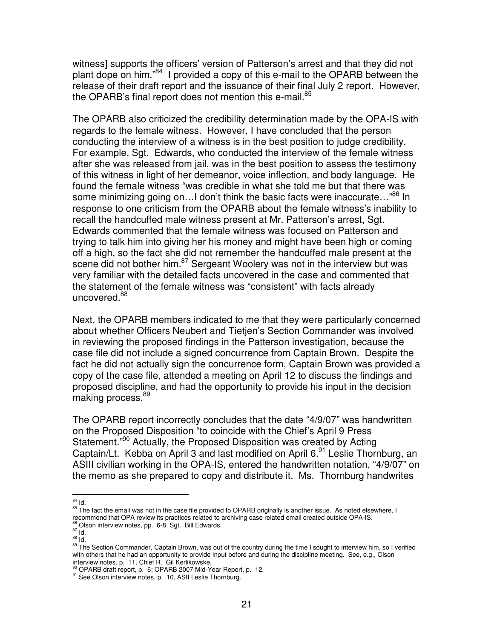witness] supports the officers' version of Patterson's arrest and that they did not plant dope on him."<sup>84</sup> I provided a copy of this e-mail to the OPARB between the release of their draft report and the issuance of their final July 2 report. However, the OPARB's final report does not mention this e-mail.<sup>85</sup>

The OPARB also criticized the credibility determination made by the OPA-IS with regards to the female witness. However, I have concluded that the person conducting the interview of a witness is in the best position to judge credibility. For example, Sgt. Edwards, who conducted the interview of the female witness after she was released from jail, was in the best position to assess the testimony of this witness in light of her demeanor, voice inflection, and body language. He found the female witness "was credible in what she told me but that there was some minimizing going on...I don't think the basic facts were inaccurate..."<sup>86</sup> In response to one criticism from the OPARB about the female witness's inability to recall the handcuffed male witness present at Mr. Patterson's arrest, Sgt. Edwards commented that the female witness was focused on Patterson and trying to talk him into giving her his money and might have been high or coming off a high, so the fact she did not remember the handcuffed male present at the scene did not bother him.<sup>87</sup> Sergeant Woolery was not in the interview but was very familiar with the detailed facts uncovered in the case and commented that the statement of the female witness was "consistent" with facts already uncovered.<sup>88</sup>

Next, the OPARB members indicated to me that they were particularly concerned about whether Officers Neubert and Tietjen's Section Commander was involved in reviewing the proposed findings in the Patterson investigation, because the case file did not include a signed concurrence from Captain Brown. Despite the fact he did not actually sign the concurrence form, Captain Brown was provided a copy of the case file, attended a meeting on April 12 to discuss the findings and proposed discipline, and had the opportunity to provide his input in the decision making process. 89

The OPARB report incorrectly concludes that the date "4/9/07" was handwritten on the Proposed Disposition "to coincide with the Chief's April 9 Press Statement."<sup>90</sup> Actually, the Proposed Disposition was created by Acting Captain/Lt. Kebba on April 3 and last modified on April 6.<sup>91</sup> Leslie Thornburg, an ASIII civilian working in the OPA-IS, entered the handwritten notation, "4/9/07" on the memo as she prepared to copy and distribute it. Ms. Thornburg handwrites

 $^{84}$  Id.

<sup>&</sup>lt;sup>85</sup> The fact the email was not in the case file provided to OPARB originally is another issue. As noted elsewhere, I recommend that OPA review its practices related to archiving case related email created outside OPA-IS.

<sup>&</sup>lt;sup>86</sup> Olson interview notes, pp. 6-8, Sgt. Bill Edwards.<br><sup>87</sup> Id.

 $\frac{88}{10}$  Id.

<sup>&</sup>lt;sup>89</sup> The Section Commander, Captain Brown, was out of the country during the time I sought to interview him, so I verified with others that he had an opportunity to provide input before and during the discipline meeting. See, e.g., Olson interview notes, p. 11, Chief R. Gil Kerlikowske.

<sup>90</sup> OPARB draft report, p. 6; OPARB 2007 Mid-Year Report, p. 12.

<sup>91</sup> See Olson interview notes, p. 10, ASII Leslie Thornburg.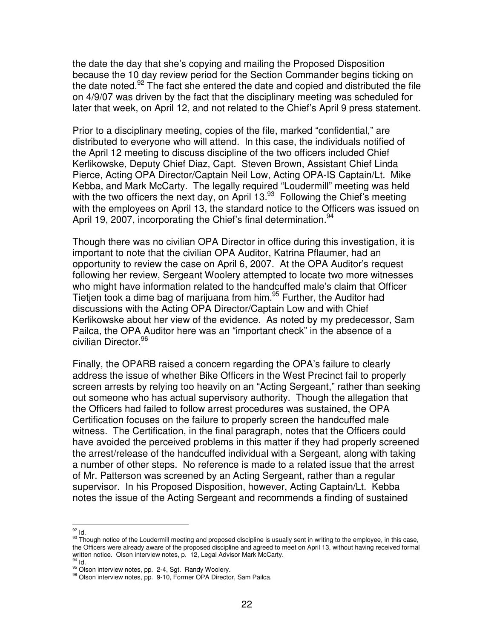the date the day that she's copying and mailing the Proposed Disposition because the 10 day review period for the Section Commander begins ticking on the date noted.<sup>92</sup> The fact she entered the date and copied and distributed the file on 4/9/07 was driven by the fact that the disciplinary meeting was scheduled for later that week, on April 12, and not related to the Chief's April 9 press statement.

Prior to a disciplinary meeting, copies of the file, marked "confidential," are distributed to everyone who will attend. In this case, the individuals notified of the April 12 meeting to discuss discipline of the two officers included Chief Kerlikowske, Deputy Chief Diaz, Capt. Steven Brown, Assistant Chief Linda Pierce, Acting OPA Director/Captain Neil Low, Acting OPA-IS Captain/Lt. Mike Kebba, and Mark McCarty. The legally required "Loudermill" meeting was held with the two officers the next day, on April 13.<sup>93</sup> Following the Chief's meeting with the employees on April 13, the standard notice to the Officers was issued on April 19, 2007, incorporating the Chief's final determination.<sup>94</sup>

Though there was no civilian OPA Director in office during this investigation, it is important to note that the civilian OPA Auditor, Katrina Pflaumer, had an opportunity to review the case on April 6, 2007. At the OPA Auditor's request following her review, Sergeant Woolery attempted to locate two more witnesses who might have information related to the handcuffed male's claim that Officer Tietjen took a dime bag of marijuana from him. 95 Further, the Auditor had discussions with the Acting OPA Director/Captain Low and with Chief Kerlikowske about her view of the evidence. As noted by my predecessor, Sam Pailca, the OPA Auditor here was an "important check" in the absence of a civilian Director. 96

Finally, the OPARB raised a concern regarding the OPA's failure to clearly address the issue of whether Bike Officers in the West Precinct fail to properly screen arrests by relying too heavily on an "Acting Sergeant," rather than seeking out someone who has actual supervisory authority. Though the allegation that the Officers had failed to follow arrest procedures was sustained, the OPA Certification focuses on the failure to properly screen the handcuffed male witness. The Certification, in the final paragraph, notes that the Officers could have avoided the perceived problems in this matter if they had properly screened the arrest/release of the handcuffed individual with a Sergeant, along with taking a number of other steps. No reference is made to a related issue that the arrest of Mr. Patterson was screened by an Acting Sergeant, rather than a regular supervisor. In his Proposed Disposition, however, Acting Captain/Lt. Kebba notes the issue of the Acting Sergeant and recommends a finding of sustained

 $^{92}$  ld.

<sup>&</sup>lt;sup>93</sup> Though notice of the Loudermill meeting and proposed discipline is usually sent in writing to the employee, in this case, the Officers were already aware of the proposed discipline and agreed to meet on April 13, without having received formal written notice. Olson interview notes, p. 12, Legal Advisor Mark McCarty. 94 Id.

<sup>95</sup> Olson interview notes, pp. 2-4, Sgt. Randy Woolery.

<sup>96</sup> Olson interview notes, pp. 9-10, Former OPA Director, Sam Pailca.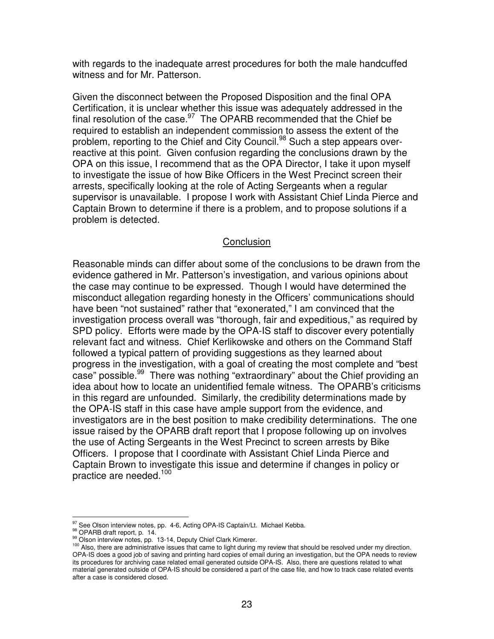with regards to the inadequate arrest procedures for both the male handcuffed witness and for Mr. Patterson.

Given the disconnect between the Proposed Disposition and the final OPA Certification, it is unclear whether this issue was adequately addressed in the final resolution of the case.<sup>97</sup> The OPARB recommended that the Chief be required to establish an independent commission to assess the extent of the problem, reporting to the Chief and City Council.<sup>98</sup> Such a step appears overreactive at this point. Given confusion regarding the conclusions drawn by the OPA on this issue, I recommend that as the OPA Director, I take it upon myself to investigate the issue of how Bike Officers in the West Precinct screen their arrests, specifically looking at the role of Acting Sergeants when a regular supervisor is unavailable. I propose I work with Assistant Chief Linda Pierce and Captain Brown to determine if there is a problem, and to propose solutions if a problem is detected.

### **Conclusion**

Reasonable minds can differ about some of the conclusions to be drawn from the evidence gathered in Mr. Patterson's investigation, and various opinions about the case may continue to be expressed. Though I would have determined the misconduct allegation regarding honesty in the Officers' communications should have been "not sustained" rather that "exonerated," I am convinced that the investigation process overall was "thorough, fair and expeditious," as required by SPD policy. Efforts were made by the OPA-IS staff to discover every potentially relevant fact and witness. Chief Kerlikowske and others on the Command Staff followed a typical pattern of providing suggestions as they learned about progress in the investigation, with a goal of creating the most complete and "best case" possible.<sup>99</sup> There was nothing "extraordinary" about the Chief providing an idea about how to locate an unidentified female witness. The OPARB's criticisms in this regard are unfounded. Similarly, the credibility determinations made by the OPA-IS staff in this case have ample support from the evidence, and investigators are in the best position to make credibility determinations. The one issue raised by the OPARB draft report that I propose following up on involves the use of Acting Sergeants in the West Precinct to screen arrests by Bike Officers. I propose that I coordinate with Assistant Chief Linda Pierce and Captain Brown to investigate this issue and determine if changes in policy or practice are needed. 100

 $97$  See Olson interview notes, pp. 4-6, Acting OPA-IS Captain/Lt. Michael Kebba.

<sup>98</sup> OPARB draft report, p. 14.

<sup>99</sup> Olson interview notes, pp. 13-14, Deputy Chief Clark Kimerer.

<sup>100</sup> Also, there are administrative issues that came to light during my review that should be resolved under my direction. OPA-IS does a good job of saving and printing hard copies of email during an investigation, but the OPA needs to review its procedures for archiving case related email generated outside OPA-IS. Also, there are questions related to what material generated outside of OPA-IS should be considered a part of the case file, and how to track case related events after a case is considered closed.